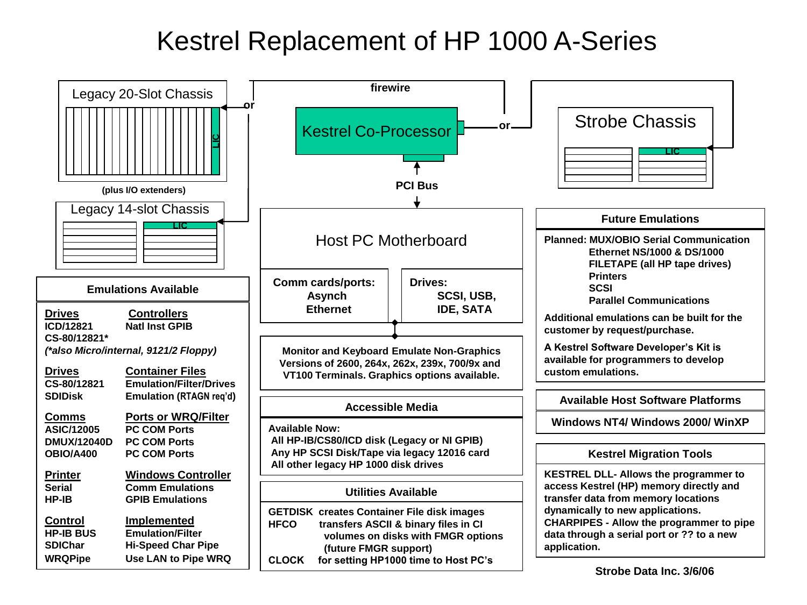## Kestrel Replacement of HP 1000 A-Series